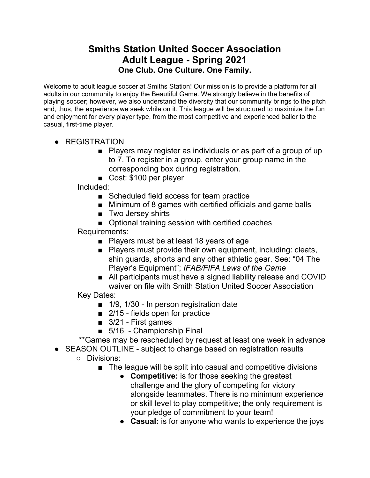## **Smiths Station United Soccer Association Adult League - Spring 2021 One Club. One Culture. One Family.**

Welcome to adult league soccer at Smiths Station! Our mission is to provide a platform for all adults in our community to enjoy the Beautiful Game. We strongly believe in the benefits of playing soccer; however, we also understand the diversity that our community brings to the pitch and, thus, the experience we seek while on it. This league will be structured to maximize the fun and enjoyment for every player type, from the most competitive and experienced baller to the casual, first-time player.

- REGISTRATION
	- Players may register as individuals or as part of a group of up to 7. To register in a group, enter your group name in the corresponding box during registration.
	- Cost: \$100 per player

Included:

- Scheduled field access for team practice
- Minimum of 8 games with certified officials and game balls
- Two Jersey shirts
- Optional training session with certified coaches

Requirements:

- Players must be at least 18 years of age
- Players must provide their own equipment, including: cleats, shin guards, shorts and any other athletic gear. See: "04 The Player's Equipment"; *IFAB/FIFA Laws of the Game*
- All participants must have a signed liability release and COVID waiver on file with Smith Station United Soccer Association

Key Dates:

- 1/9, 1/30 In person registration date
- 2/15 fields open for practice
- 3/21 First games
- 5/16 Championship Final

\*\*Games may be rescheduled by request at least one week in advance

- SEASON OUTLINE subject to change based on registration results
	- Divisions:
		- The league will be split into casual and competitive divisions
			- **Competitive:** is for those seeking the greatest challenge and the glory of competing for victory alongside teammates. There is no minimum experience or skill level to play competitive; the only requirement is your pledge of commitment to your team!
			- **● Casual:** is for anyone who wants to experience the joys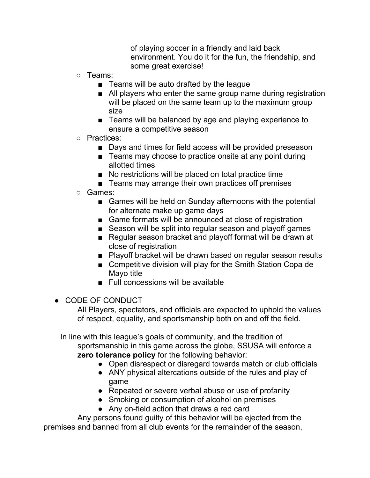of playing soccer in a friendly and laid back environment. You do it for the fun, the friendship, and some great exercise!

- Teams:
	- Teams will be auto drafted by the league
	- All players who enter the same group name during registration will be placed on the same team up to the maximum group size
	- Teams will be balanced by age and playing experience to ensure a competitive season
- Practices:
	- Days and times for field access will be provided preseason
	- Teams may choose to practice onsite at any point during allotted times
	- No restrictions will be placed on total practice time
	- Teams may arrange their own practices off premises
- Games:
	- Games will be held on Sunday afternoons with the potential for alternate make up game days
	- Game formats will be announced at close of registration
	- Season will be split into regular season and playoff games
	- Regular season bracket and playoff format will be drawn at close of registration
	- Playoff bracket will be drawn based on regular season results
	- Competitive division will play for the Smith Station Copa de Mayo title
	- Full concessions will be available
- CODE OF CONDUCT

All Players, spectators, and officials are expected to uphold the values of respect, equality, and sportsmanship both on and off the field.

In line with this league's goals of community, and the tradition of sportsmanship in this game across the globe, SSUSA will enforce a **zero tolerance policy** for the following behavior:

- Open disrespect or disregard towards match or club officials
- ANY physical altercations outside of the rules and play of game
- Repeated or severe verbal abuse or use of profanity
- Smoking or consumption of alcohol on premises
- Any on-field action that draws a red card

Any persons found guilty of this behavior will be ejected from the premises and banned from all club events for the remainder of the season,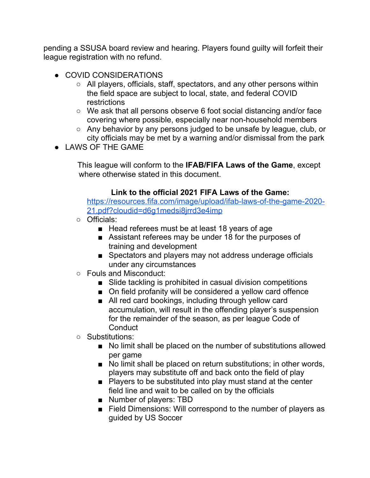pending a SSUSA board review and hearing. Players found guilty will forfeit their league registration with no refund.

- COVID CONSIDERATIONS
	- All players, officials, staff, spectators, and any other persons within the field space are subject to local, state, and federal COVID restrictions
	- We ask that all persons observe 6 foot social distancing and/or face covering where possible, especially near non-household members
	- Any behavior by any persons judged to be unsafe by league, club, or city officials may be met by a warning and/or dismissal from the park
- LAWS OF THE GAME

This league will conform to the **IFAB/FIFA Laws of the Game**, except where otherwise stated in this document.

## **Link to the official 2021 FIFA Laws of the Game:**

[https://resources.fifa.com/image/upload/ifab-laws-of-the-game-2020-](https://resources.fifa.com/image/upload/ifab-laws-of-the-game-2020-21.pdf?cloudid=d6g1medsi8jrrd3e4imp) [21.pdf?cloudid=d6g1medsi8jrrd3e4imp](https://resources.fifa.com/image/upload/ifab-laws-of-the-game-2020-21.pdf?cloudid=d6g1medsi8jrrd3e4imp)

- Officials:
	- Head referees must be at least 18 years of age
	- Assistant referees may be under 18 for the purposes of training and development
	- Spectators and players may not address underage officials under any circumstances
- Fouls and Misconduct:
	- Slide tackling is prohibited in casual division competitions
	- On field profanity will be considered a yellow card offence
	- All red card bookings, including through yellow card accumulation, will result in the offending player's suspension for the remainder of the season, as per league Code of **Conduct**
- Substitutions:
	- No limit shall be placed on the number of substitutions allowed per game
	- No limit shall be placed on return substitutions; in other words, players may substitute off and back onto the field of play
	- Players to be substituted into play must stand at the center field line and wait to be called on by the officials
	- Number of players: TBD
	- Field Dimensions: Will correspond to the number of players as guided by US Soccer